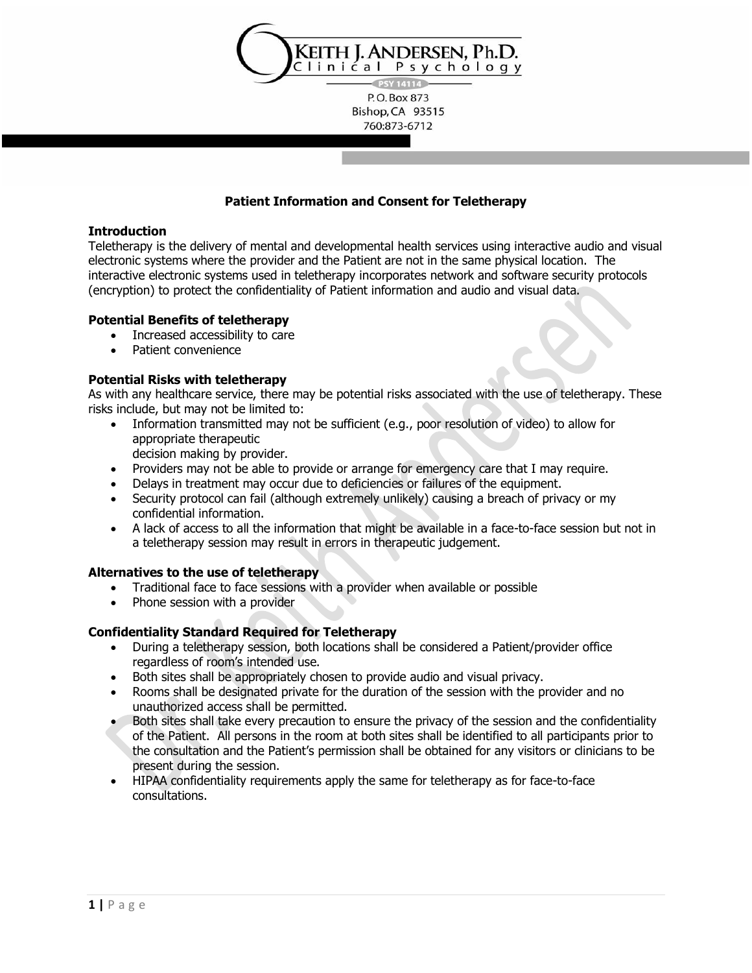

760:873-6712

## **Patient Information and Consent for Teletherapy**

#### **Introduction**

Teletherapy is the delivery of mental and developmental health services using interactive audio and visual electronic systems where the provider and the Patient are not in the same physical location. The interactive electronic systems used in teletherapy incorporates network and software security protocols (encryption) to protect the confidentiality of Patient information and audio and visual data.

### **Potential Benefits of teletherapy**

- Increased accessibility to care
- Patient convenience

### **Potential Risks with teletherapy**

As with any healthcare service, there may be potential risks associated with the use of teletherapy. These risks include, but may not be limited to:

Information transmitted may not be sufficient (e.g., poor resolution of video) to allow for appropriate therapeutic

decision making by provider.

- Providers may not be able to provide or arrange for emergency care that I may require.
- Delays in treatment may occur due to deficiencies or failures of the equipment.
- Security protocol can fail (although extremely unlikely) causing a breach of privacy or my confidential information.
- A lack of access to all the information that might be available in a face-to-face session but not in a teletherapy session may result in errors in therapeutic judgement.

#### **Alternatives to the use of teletherapy**

- Traditional face to face sessions with a provider when available or possible
- Phone session with a provider

## **Confidentiality Standard Required for Teletherapy**

- During a teletherapy session, both locations shall be considered a Patient/provider office regardless of room's intended use.
- Both sites shall be appropriately chosen to provide audio and visual privacy.
- Rooms shall be designated private for the duration of the session with the provider and no unauthorized access shall be permitted.
- Both sites shall take every precaution to ensure the privacy of the session and the confidentiality of the Patient. All persons in the room at both sites shall be identified to all participants prior to the consultation and the Patient's permission shall be obtained for any visitors or clinicians to be present during the session.
- HIPAA confidentiality requirements apply the same for teletherapy as for face-to-face consultations.